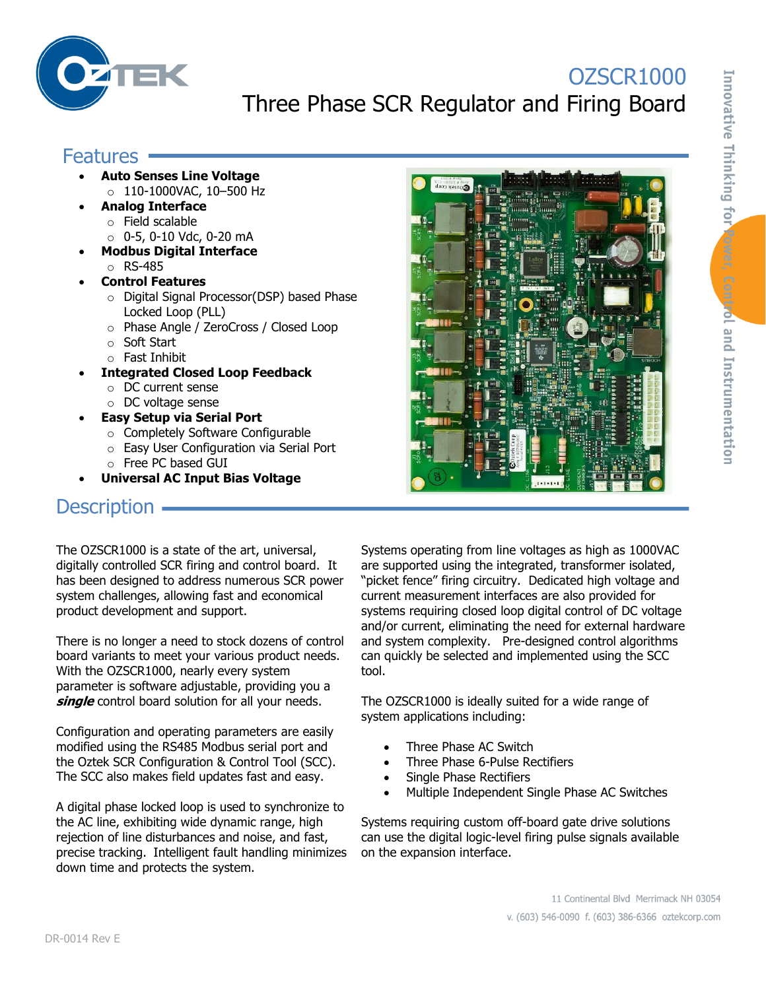

# OZSCR1000 Three Phase SCR Regulator and Firing Board

#### **Features -**

- **Auto Senses Line Voltage** o 110-1000VAC, 10–500 Hz
- **Analog Interface**
	- o Field scalable
	- o 0-5, 0-10 Vdc, 0-20 mA
- **Modbus Digital Interface** o RS-485
- **Control Features**
	- o Digital Signal Processor(DSP) based Phase Locked Loop (PLL)
	- o Phase Angle / ZeroCross / Closed Loop
	- o Soft Start
	- o Fast Inhibit
- **Integrated Closed Loop Feedback**
	- o DC current sense
	- o DC voltage sense
- **Easy Setup via Serial Port**
	- o Completely Software Configurable
	- o Easy User Configuration via Serial Port
	- o Free PC based GUI
- **Universal AC Input Bias Voltage**

#### **Description**  $\cdot$

The OZSCR1000 is a state of the art, universal, digitally controlled SCR firing and control board. It has been designed to address numerous SCR power system challenges, allowing fast and economical product development and support.

There is no longer a need to stock dozens of control board variants to meet your various product needs. With the OZSCR1000, nearly every system parameter is software adjustable, providing you a single control board solution for all your needs.

Configuration and operating parameters are easily modified using the RS485 Modbus serial port and the Oztek SCR Configuration & Control Tool (SCC). The SCC also makes field updates fast and easy.

A digital phase locked loop is used to synchronize to the AC line, exhibiting wide dynamic range, high rejection of line disturbances and noise, and fast, precise tracking. Intelligent fault handling minimizes down time and protects the system.

Systems operating from line voltages as high as 1000VAC are supported using the integrated, transformer isolated, "picket fence" firing circuitry. Dedicated high voltage and current measurement interfaces are also provided for systems requiring closed loop digital control of DC voltage and/or current, eliminating the need for external hardware and system complexity. Pre-designed control algorithms can quickly be selected and implemented using the SCC tool.

 $1 - 1 - 1 - 1$ 

The OZSCR1000 is ideally suited for a wide range of system applications including:

- Three Phase AC Switch
- Three Phase 6-Pulse Rectifiers
- Single Phase Rectifiers
- Multiple Independent Single Phase AC Switches

Systems requiring custom off-board gate drive solutions can use the digital logic-level firing pulse signals available on the expansion interface.